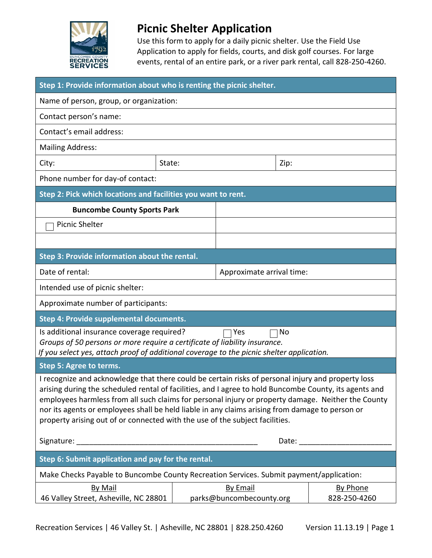

## **Picnic Shelter Application**

Use this form to apply for a daily picnic shelter. Use the Field Use Application to apply for fields, courts, and disk golf courses. For large events, rental of an entire park, or a river park rental, call 828-250-4260.

| Step 1: Provide information about who is renting the picnic shelter.                                                                                                                                                                                                                                                                                                                                                                                                                                  |        |                           |      |                 |
|-------------------------------------------------------------------------------------------------------------------------------------------------------------------------------------------------------------------------------------------------------------------------------------------------------------------------------------------------------------------------------------------------------------------------------------------------------------------------------------------------------|--------|---------------------------|------|-----------------|
| Name of person, group, or organization:                                                                                                                                                                                                                                                                                                                                                                                                                                                               |        |                           |      |                 |
| Contact person's name:                                                                                                                                                                                                                                                                                                                                                                                                                                                                                |        |                           |      |                 |
| Contact's email address:                                                                                                                                                                                                                                                                                                                                                                                                                                                                              |        |                           |      |                 |
| <b>Mailing Address:</b>                                                                                                                                                                                                                                                                                                                                                                                                                                                                               |        |                           |      |                 |
| City:                                                                                                                                                                                                                                                                                                                                                                                                                                                                                                 | State: |                           | Zip: |                 |
| Phone number for day-of contact:                                                                                                                                                                                                                                                                                                                                                                                                                                                                      |        |                           |      |                 |
| Step 2: Pick which locations and facilities you want to rent.                                                                                                                                                                                                                                                                                                                                                                                                                                         |        |                           |      |                 |
| <b>Buncombe County Sports Park</b>                                                                                                                                                                                                                                                                                                                                                                                                                                                                    |        |                           |      |                 |
| <b>Picnic Shelter</b>                                                                                                                                                                                                                                                                                                                                                                                                                                                                                 |        |                           |      |                 |
|                                                                                                                                                                                                                                                                                                                                                                                                                                                                                                       |        |                           |      |                 |
| Step 3: Provide information about the rental.                                                                                                                                                                                                                                                                                                                                                                                                                                                         |        |                           |      |                 |
| Date of rental:                                                                                                                                                                                                                                                                                                                                                                                                                                                                                       |        | Approximate arrival time: |      |                 |
| Intended use of picnic shelter:                                                                                                                                                                                                                                                                                                                                                                                                                                                                       |        |                           |      |                 |
| Approximate number of participants:                                                                                                                                                                                                                                                                                                                                                                                                                                                                   |        |                           |      |                 |
| Step 4: Provide supplemental documents.                                                                                                                                                                                                                                                                                                                                                                                                                                                               |        |                           |      |                 |
| Is additional insurance coverage required?<br>No<br>Yes                                                                                                                                                                                                                                                                                                                                                                                                                                               |        |                           |      |                 |
| Groups of 50 persons or more require a certificate of liability insurance.<br>If you select yes, attach proof of additional coverage to the picnic shelter application.                                                                                                                                                                                                                                                                                                                               |        |                           |      |                 |
| Step 5: Agree to terms.                                                                                                                                                                                                                                                                                                                                                                                                                                                                               |        |                           |      |                 |
| I recognize and acknowledge that there could be certain risks of personal injury and property loss<br>arising during the scheduled rental of facilities, and I agree to hold Buncombe County, its agents and<br>employees harmless from all such claims for personal injury or property damage. Neither the County<br>nor its agents or employees shall be held liable in any claims arising from damage to person or<br>property arising out of or connected with the use of the subject facilities. |        |                           |      |                 |
|                                                                                                                                                                                                                                                                                                                                                                                                                                                                                                       |        |                           |      |                 |
| Step 6: Submit application and pay for the rental.                                                                                                                                                                                                                                                                                                                                                                                                                                                    |        |                           |      |                 |
| Make Checks Payable to Buncombe County Recreation Services. Submit payment/application:                                                                                                                                                                                                                                                                                                                                                                                                               |        |                           |      |                 |
| <b>By Mail</b>                                                                                                                                                                                                                                                                                                                                                                                                                                                                                        |        | <b>By Email</b>           |      | <b>By Phone</b> |
| 46 Valley Street, Asheville, NC 28801                                                                                                                                                                                                                                                                                                                                                                                                                                                                 |        | parks@buncombecounty.org  |      | 828-250-4260    |